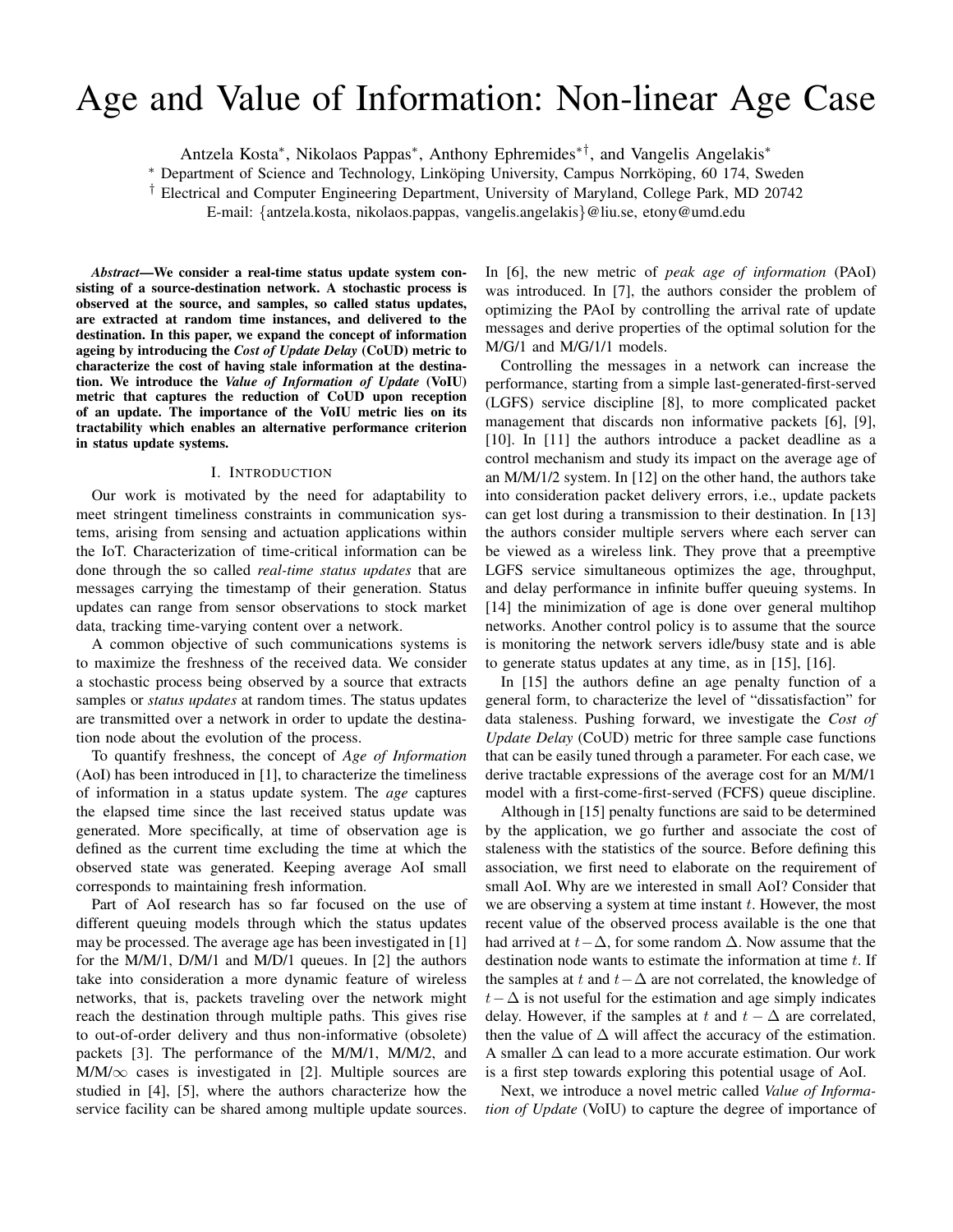# Age and Value of Information: Non-linear Age Case

Antzela Kosta<sup>∗</sup> , Nikolaos Pappas<sup>∗</sup> , Anthony Ephremides∗†, and Vangelis Angelakis<sup>∗</sup>

\* Department of Science and Technology, Linköping University, Campus Norrköping, 60 174, Sweden

† Electrical and Computer Engineering Department, University of Maryland, College Park, MD 20742

E-mail: {antzela.kosta, nikolaos.pappas, vangelis.angelakis}@liu.se, etony@umd.edu

*Abstract*—We consider a real-time status update system consisting of a source-destination network. A stochastic process is observed at the source, and samples, so called status updates, are extracted at random time instances, and delivered to the destination. In this paper, we expand the concept of information ageing by introducing the *Cost of Update Delay* (CoUD) metric to characterize the cost of having stale information at the destination. We introduce the *Value of Information of Update* (VoIU) metric that captures the reduction of CoUD upon reception of an update. The importance of the VoIU metric lies on its tractability which enables an alternative performance criterion in status update systems.

## I. INTRODUCTION

Our work is motivated by the need for adaptability to meet stringent timeliness constraints in communication systems, arising from sensing and actuation applications within the IoT. Characterization of time-critical information can be done through the so called *real-time status updates* that are messages carrying the timestamp of their generation. Status updates can range from sensor observations to stock market data, tracking time-varying content over a network.

A common objective of such communications systems is to maximize the freshness of the received data. We consider a stochastic process being observed by a source that extracts samples or *status updates* at random times. The status updates are transmitted over a network in order to update the destination node about the evolution of the process.

To quantify freshness, the concept of *Age of Information* (AoI) has been introduced in [1], to characterize the timeliness of information in a status update system. The *age* captures the elapsed time since the last received status update was generated. More specifically, at time of observation age is defined as the current time excluding the time at which the observed state was generated. Keeping average AoI small corresponds to maintaining fresh information.

Part of AoI research has so far focused on the use of different queuing models through which the status updates may be processed. The average age has been investigated in [1] for the M/M/1, D/M/1 and M/D/1 queues. In [2] the authors take into consideration a more dynamic feature of wireless networks, that is, packets traveling over the network might reach the destination through multiple paths. This gives rise to out-of-order delivery and thus non-informative (obsolete) packets [3]. The performance of the M/M/1, M/M/2, and  $M/M/\infty$  cases is investigated in [2]. Multiple sources are studied in [4], [5], where the authors characterize how the service facility can be shared among multiple update sources.

In [6], the new metric of *peak age of information* (PAoI) was introduced. In [7], the authors consider the problem of optimizing the PAoI by controlling the arrival rate of update messages and derive properties of the optimal solution for the M/G/1 and M/G/1/1 models.

Controlling the messages in a network can increase the performance, starting from a simple last-generated-first-served (LGFS) service discipline [8], to more complicated packet management that discards non informative packets [6], [9], [10]. In [11] the authors introduce a packet deadline as a control mechanism and study its impact on the average age of an M/M/1/2 system. In [12] on the other hand, the authors take into consideration packet delivery errors, i.e., update packets can get lost during a transmission to their destination. In [13] the authors consider multiple servers where each server can be viewed as a wireless link. They prove that a preemptive LGFS service simultaneous optimizes the age, throughput, and delay performance in infinite buffer queuing systems. In [14] the minimization of age is done over general multihop networks. Another control policy is to assume that the source is monitoring the network servers idle/busy state and is able to generate status updates at any time, as in [15], [16].

In [15] the authors define an age penalty function of a general form, to characterize the level of "dissatisfaction" for data staleness. Pushing forward, we investigate the *Cost of Update Delay* (CoUD) metric for three sample case functions that can be easily tuned through a parameter. For each case, we derive tractable expressions of the average cost for an M/M/1 model with a first-come-first-served (FCFS) queue discipline.

Although in [15] penalty functions are said to be determined by the application, we go further and associate the cost of staleness with the statistics of the source. Before defining this association, we first need to elaborate on the requirement of small AoI. Why are we interested in small AoI? Consider that we are observing a system at time instant  $t$ . However, the most recent value of the observed process available is the one that had arrived at  $t-\Delta$ , for some random  $\Delta$ . Now assume that the destination node wants to estimate the information at time  $t$ . If the samples at t and  $t-\Delta$  are not correlated, the knowledge of  $t-\Delta$  is not useful for the estimation and age simply indicates delay. However, if the samples at t and  $t - \Delta$  are correlated, then the value of  $\Delta$  will affect the accuracy of the estimation. A smaller  $\Delta$  can lead to a more accurate estimation. Our work is a first step towards exploring this potential usage of AoI.

Next, we introduce a novel metric called *Value of Information of Update* (VoIU) to capture the degree of importance of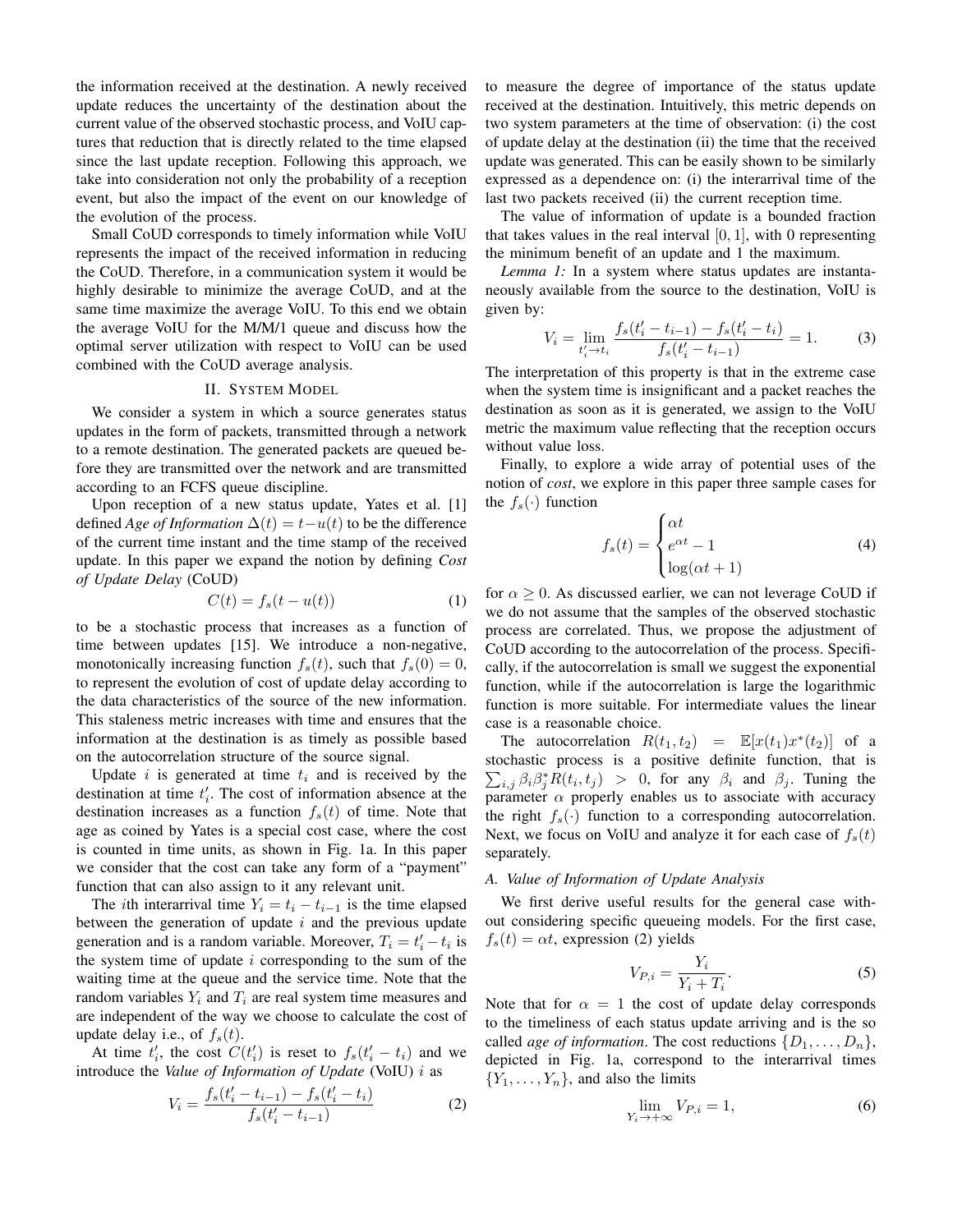the information received at the destination. A newly received update reduces the uncertainty of the destination about the current value of the observed stochastic process, and VoIU captures that reduction that is directly related to the time elapsed since the last update reception. Following this approach, we take into consideration not only the probability of a reception event, but also the impact of the event on our knowledge of the evolution of the process.

Small CoUD corresponds to timely information while VoIU represents the impact of the received information in reducing the CoUD. Therefore, in a communication system it would be highly desirable to minimize the average CoUD, and at the same time maximize the average VoIU. To this end we obtain the average VoIU for the M/M/1 queue and discuss how the optimal server utilization with respect to VoIU can be used combined with the CoUD average analysis.

### II. SYSTEM MODEL

We consider a system in which a source generates status updates in the form of packets, transmitted through a network to a remote destination. The generated packets are queued before they are transmitted over the network and are transmitted according to an FCFS queue discipline.

Upon reception of a new status update, Yates et al. [1] defined *Age of Information*  $\Delta(t) = t - u(t)$  to be the difference of the current time instant and the time stamp of the received update. In this paper we expand the notion by defining *Cost of Update Delay* (CoUD)

$$
C(t) = f_s(t - u(t))
$$
 (1)

to be a stochastic process that increases as a function of time between updates [15]. We introduce a non-negative, monotonically increasing function  $f_s(t)$ , such that  $f_s(0) = 0$ , to represent the evolution of cost of update delay according to the data characteristics of the source of the new information. This staleness metric increases with time and ensures that the information at the destination is as timely as possible based on the autocorrelation structure of the source signal.

Update i is generated at time  $t_i$  and is received by the destination at time  $t_i'$ . The cost of information absence at the destination increases as a function  $f_s(t)$  of time. Note that age as coined by Yates is a special cost case, where the cost is counted in time units, as shown in Fig. 1a. In this paper we consider that the cost can take any form of a "payment" function that can also assign to it any relevant unit.

The *i*th interarrival time  $Y_i = t_i - t_{i-1}$  is the time elapsed between the generation of update  $i$  and the previous update generation and is a random variable. Moreover,  $T_i = t'_i - t_i$  is the system time of update  $i$  corresponding to the sum of the waiting time at the queue and the service time. Note that the random variables  $Y_i$  and  $T_i$  are real system time measures and are independent of the way we choose to calculate the cost of update delay i.e., of  $f_s(t)$ .

At time  $t'_i$ , the cost  $C(t'_i)$  is reset to  $f_s(t'_i - t_i)$  and we introduce the *Value of Information of Update* (VoIU) i as

$$
V_i = \frac{f_s(t_i' - t_{i-1}) - f_s(t_i' - t_i)}{f_s(t_i' - t_{i-1})}
$$
(2)

to measure the degree of importance of the status update received at the destination. Intuitively, this metric depends on two system parameters at the time of observation: (i) the cost of update delay at the destination (ii) the time that the received update was generated. This can be easily shown to be similarly expressed as a dependence on: (i) the interarrival time of the last two packets received (ii) the current reception time.

The value of information of update is a bounded fraction that takes values in the real interval  $[0, 1]$ , with 0 representing the minimum benefit of an update and 1 the maximum.

*Lemma 1:* In a system where status updates are instantaneously available from the source to the destination, VoIU is given by:

$$
V_i = \lim_{t'_i \to t_i} \frac{f_s(t'_i - t_{i-1}) - f_s(t'_i - t_i)}{f_s(t'_i - t_{i-1})} = 1.
$$
 (3)

The interpretation of this property is that in the extreme case when the system time is insignificant and a packet reaches the destination as soon as it is generated, we assign to the VoIU metric the maximum value reflecting that the reception occurs without value loss.

Finally, to explore a wide array of potential uses of the notion of *cost*, we explore in this paper three sample cases for the  $f_s(\cdot)$  function

$$
f_s(t) = \begin{cases} \alpha t \\ e^{\alpha t} - 1 \\ \log(\alpha t + 1) \end{cases}
$$
 (4)

for  $\alpha \geq 0$ . As discussed earlier, we can not leverage CoUD if we do not assume that the samples of the observed stochastic process are correlated. Thus, we propose the adjustment of CoUD according to the autocorrelation of the process. Specifically, if the autocorrelation is small we suggest the exponential function, while if the autocorrelation is large the logarithmic function is more suitable. For intermediate values the linear case is a reasonable choice.

The autocorrelation  $R(t_1, t_2) = \mathbb{E}[x(t_1)x^*(t_2)]$  of a stochastic process is a positive definite function, that is  $\sum_{i,j} \beta_i \beta_j^* R(t_i, t_j) > 0$ , for any  $\beta_i$  and  $\beta_j$ . Tuning the parameter  $\alpha$  properly enables us to associate with accuracy the right  $f_s(\cdot)$  function to a corresponding autocorrelation. Next, we focus on VoIU and analyze it for each case of  $f_s(t)$ separately.

## *A. Value of Information of Update Analysis*

We first derive useful results for the general case without considering specific queueing models. For the first case,  $f_s(t) = \alpha t$ , expression (2) yields

$$
V_{P,i} = \frac{Y_i}{Y_i + T_i}.\tag{5}
$$

Note that for  $\alpha = 1$  the cost of update delay corresponds to the timeliness of each status update arriving and is the so called *age of information*. The cost reductions  $\{D_1, \ldots, D_n\}$ , depicted in Fig. 1a, correspond to the interarrival times  ${Y_1, \ldots, Y_n}$ , and also the limits

$$
\lim_{Y_i \to +\infty} V_{P,i} = 1,\tag{6}
$$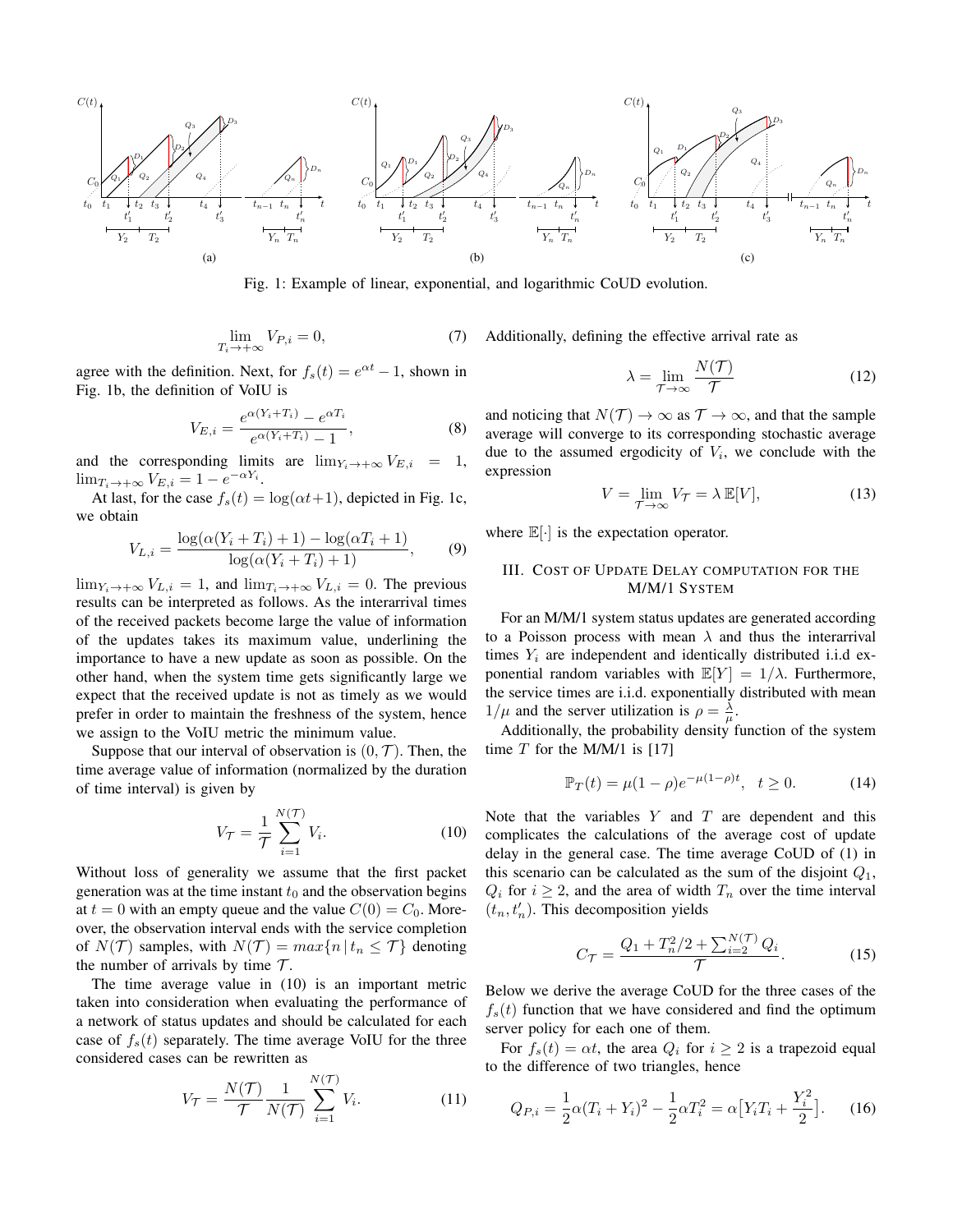

Fig. 1: Example of linear, exponential, and logarithmic CoUD evolution.

$$
\lim_{T_i \to +\infty} V_{P,i} = 0,\tag{7}
$$

agree with the definition. Next, for  $f_s(t) = e^{\alpha t} - 1$ , shown in Fig. 1b, the definition of VoIU is

$$
V_{E,i} = \frac{e^{\alpha (Y_i + T_i)} - e^{\alpha T_i}}{e^{\alpha (Y_i + T_i)} - 1},
$$
\n(8)

and the corresponding limits are  $\lim_{Y_i \to +\infty} V_{E,i} = 1$ ,  $\lim_{T_i \to +\infty} V_{E,i} = 1 - e^{-\alpha Y_i}.$ 

At last, for the case  $f_s(t) = \log(\alpha t + 1)$ , depicted in Fig. 1c, we obtain

$$
V_{L,i} = \frac{\log(\alpha(Y_i + T_i) + 1) - \log(\alpha T_i + 1)}{\log(\alpha(Y_i + T_i) + 1)},
$$
(9)

 $\lim_{Y_i \to +\infty} V_{L,i} = 1$ , and  $\lim_{T_i \to +\infty} V_{L,i} = 0$ . The previous results can be interpreted as follows. As the interarrival times of the received packets become large the value of information of the updates takes its maximum value, underlining the importance to have a new update as soon as possible. On the other hand, when the system time gets significantly large we expect that the received update is not as timely as we would prefer in order to maintain the freshness of the system, hence we assign to the VoIU metric the minimum value.

Suppose that our interval of observation is  $(0, \mathcal{T})$ . Then, the time average value of information (normalized by the duration of time interval) is given by

$$
V_{\mathcal{T}} = \frac{1}{\mathcal{T}} \sum_{i=1}^{N(\mathcal{T})} V_i.
$$
 (10)

Without loss of generality we assume that the first packet generation was at the time instant  $t_0$  and the observation begins at  $t = 0$  with an empty queue and the value  $C(0) = C_0$ . Moreover, the observation interval ends with the service completion of  $N(\mathcal{T})$  samples, with  $N(\mathcal{T}) = max\{n \mid t_n \leq \mathcal{T}\}\$  denoting the number of arrivals by time  $\mathcal{T}$ .

The time average value in (10) is an important metric taken into consideration when evaluating the performance of a network of status updates and should be calculated for each case of  $f_s(t)$  separately. The time average VoIU for the three considered cases can be rewritten as

$$
V_{\mathcal{T}} = \frac{N(\mathcal{T})}{\mathcal{T}} \frac{1}{N(\mathcal{T})} \sum_{i=1}^{N(\mathcal{T})} V_i.
$$
 (11)

Additionally, defining the effective arrival rate as

$$
\lambda = \lim_{\mathcal{T} \to \infty} \frac{N(\mathcal{T})}{\mathcal{T}}
$$
\n(12)

and noticing that  $N(\mathcal{T}) \to \infty$  as  $\mathcal{T} \to \infty$ , and that the sample average will converge to its corresponding stochastic average due to the assumed ergodicity of  $V_i$ , we conclude with the expression

$$
V = \lim_{\mathcal{T} \to \infty} V_{\mathcal{T}} = \lambda \, \mathbb{E}[V],\tag{13}
$$

where  $\mathbb{E}[\cdot]$  is the expectation operator.

# III. COST OF UPDATE DELAY COMPUTATION FOR THE M/M/1 SYSTEM

For an M/M/1 system status updates are generated according to a Poisson process with mean  $\lambda$  and thus the interarrival times  $Y_i$  are independent and identically distributed i.i.d exponential random variables with  $\mathbb{E}[Y] = 1/\lambda$ . Furthermore, the service times are i.i.d. exponentially distributed with mean  $1/\mu$  and the server utilization is  $\rho = \frac{\lambda}{\mu}$ .

Additionally, the probability density function of the system time  $T$  for the M/M/1 is [17]

$$
\mathbb{P}_T(t) = \mu(1 - \rho)e^{-\mu(1 - \rho)t}, \quad t \ge 0. \tag{14}
$$

Note that the variables  $Y$  and  $T$  are dependent and this complicates the calculations of the average cost of update delay in the general case. The time average CoUD of (1) in this scenario can be calculated as the sum of the disjoint  $Q_1$ ,  $Q_i$  for  $i \geq 2$ , and the area of width  $T_n$  over the time interval  $(t_n, t'_n)$ . This decomposition yields

$$
C_{\mathcal{T}} = \frac{Q_1 + T_n^2/2 + \sum_{i=2}^{N(\mathcal{T})} Q_i}{\mathcal{T}}.
$$
 (15)

Below we derive the average CoUD for the three cases of the  $f_s(t)$  function that we have considered and find the optimum server policy for each one of them.

For  $f_s(t) = \alpha t$ , the area  $Q_i$  for  $i \geq 2$  is a trapezoid equal to the difference of two triangles, hence

$$
Q_{P,i} = \frac{1}{2}\alpha (T_i + Y_i)^2 - \frac{1}{2}\alpha T_i^2 = \alpha \left[ Y_i T_i + \frac{Y_i^2}{2} \right].
$$
 (16)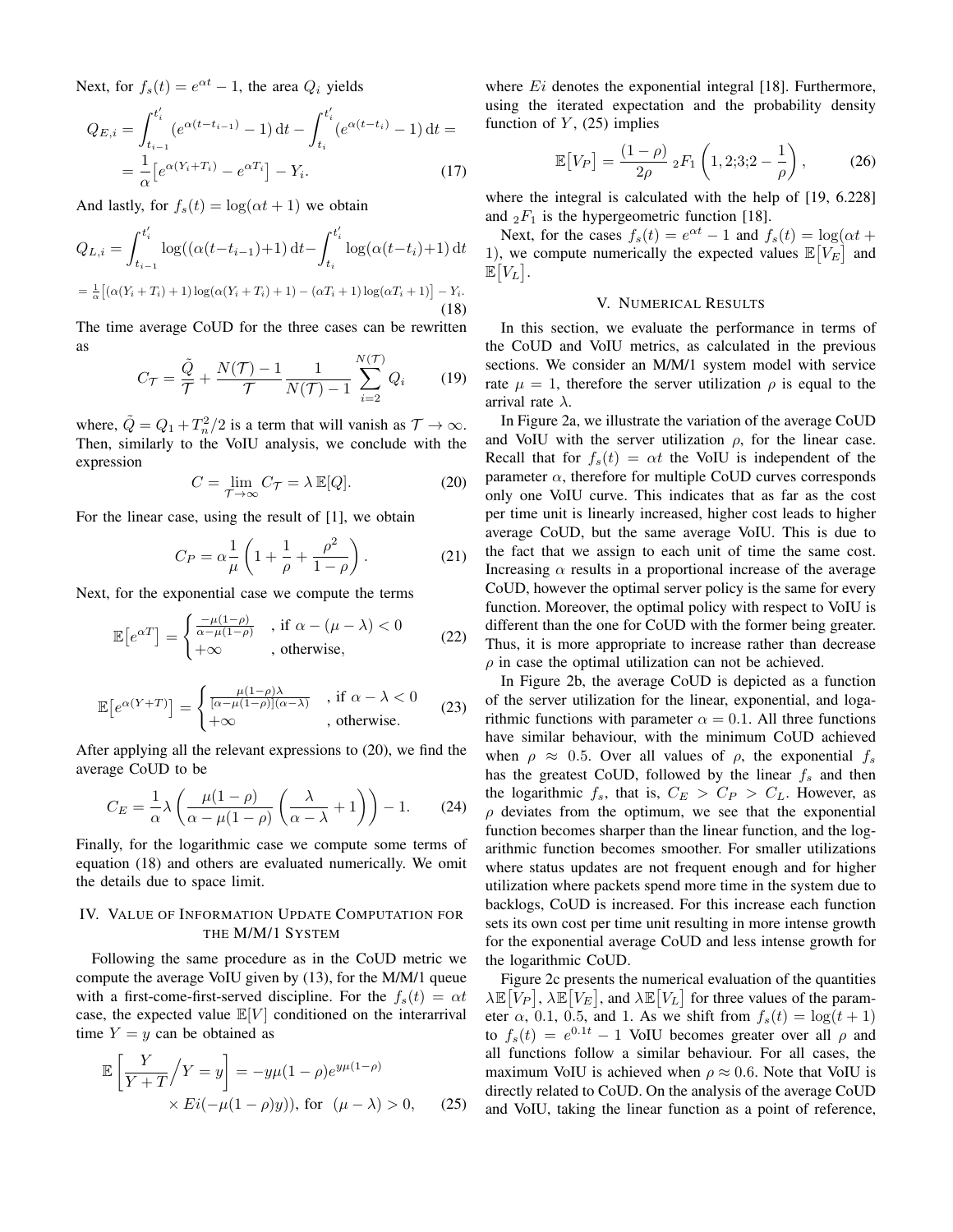Next, for  $f_s(t) = e^{\alpha t} - 1$ , the area  $Q_i$  yields

$$
Q_{E,i} = \int_{t_{i-1}}^{t_i'} (e^{\alpha(t - t_{i-1})} - 1) dt - \int_{t_i}^{t_i'} (e^{\alpha(t - t_i)} - 1) dt =
$$
  
= 
$$
\frac{1}{\alpha} [e^{\alpha(Y_i + T_i)} - e^{\alpha T_i}] - Y_i.
$$
 (17)

And lastly, for  $f_s(t) = \log(\alpha t + 1)$  we obtain

$$
Q_{L,i} = \int_{t_{i-1}}^{t_i'} \log((\alpha(t - t_{i-1}) + 1) dt - \int_{t_i}^{t_i'} \log(\alpha(t - t_i) + 1) dt
$$
  
=  $\frac{1}{\alpha} [(\alpha(Y_i + T_i) + 1) \log(\alpha(Y_i + T_i) + 1) - (\alpha T_i + 1) \log(\alpha T_i + 1)] - Y_i.$  (18)

The time average CoUD for the three cases can be rewritten as

$$
C_{\mathcal{T}} = \frac{\tilde{Q}}{\mathcal{T}} + \frac{N(\mathcal{T}) - 1}{\mathcal{T}} \frac{1}{N(\mathcal{T}) - 1} \sum_{i=2}^{N(\mathcal{T})} Q_i \qquad (19)
$$

where,  $\tilde{Q} = Q_1 + T_n^2/2$  is a term that will vanish as  $\mathcal{T} \to \infty$ . Then, similarly to the VoIU analysis, we conclude with the expression

$$
C = \lim_{\mathcal{T} \to \infty} C_{\mathcal{T}} = \lambda \, \mathbb{E}[Q]. \tag{20}
$$

For the linear case, using the result of [1], we obtain

$$
C_P = \alpha \frac{1}{\mu} \left( 1 + \frac{1}{\rho} + \frac{\rho^2}{1 - \rho} \right). \tag{21}
$$

Next, for the exponential case we compute the terms

$$
\mathbb{E}\left[e^{\alpha T}\right] = \begin{cases} \frac{-\mu(1-\rho)}{\alpha - \mu(1-\rho)} & , \text{if } \alpha - (\mu - \lambda) < 0\\ +\infty & , \text{otherwise}, \end{cases}
$$
(22)

$$
\mathbb{E}\left[e^{\alpha(Y+T)}\right] = \begin{cases} \frac{\mu(1-\rho)\lambda}{[\alpha-\mu(1-\rho)](\alpha-\lambda)} & , \text{if } \alpha-\lambda < 0\\ +\infty & , \text{otherwise.} \end{cases}
$$
 (23)

After applying all the relevant expressions to (20), we find the average CoUD to be

$$
C_E = \frac{1}{\alpha} \lambda \left( \frac{\mu (1 - \rho)}{\alpha - \mu (1 - \rho)} \left( \frac{\lambda}{\alpha - \lambda} + 1 \right) \right) - 1. \tag{24}
$$

Finally, for the logarithmic case we compute some terms of equation (18) and others are evaluated numerically. We omit the details due to space limit.

# IV. VALUE OF INFORMATION UPDATE COMPUTATION FOR THE M/M/1 SYSTEM

Following the same procedure as in the CoUD metric we compute the average VoIU given by (13), for the M/M/1 queue with a first-come-first-served discipline. For the  $f_s(t) = \alpha t$ case, the expected value  $\mathbb{E}[V]$  conditioned on the interarrival time  $Y = y$  can be obtained as

$$
\mathbb{E}\left[\frac{Y}{Y+T}\middle/Y=y\right] = -y\mu(1-\rho)e^{y\mu(1-\rho)}
$$
  
×  $Ei(-\mu(1-\rho)y)$ , for  $(\mu - \lambda) > 0$ , (25)

where  $E_i$  denotes the exponential integral [18]. Furthermore, using the iterated expectation and the probability density function of  $Y$ , (25) implies

$$
\mathbb{E}\left[V_P\right] = \frac{(1-\rho)}{2\rho} \,{}_2F_1\left(1,2;3;2-\frac{1}{\rho}\right),\tag{26}
$$

where the integral is calculated with the help of [19, 6.228] and  ${}_2F_1$  is the hypergeometric function [18].

Next, for the cases  $f_s(t) = e^{\alpha t} - 1$  and  $f_s(t) = \log(\alpha t +$ 1), we compute numerically the expected values  $\mathbb{E}[V_E]$  and  $\mathbb{E}[V_L].$ 

### V. NUMERICAL RESULTS

In this section, we evaluate the performance in terms of the CoUD and VoIU metrics, as calculated in the previous sections. We consider an M/M/1 system model with service rate  $\mu = 1$ , therefore the server utilization  $\rho$  is equal to the arrival rate  $\lambda$ .

In Figure 2a, we illustrate the variation of the average CoUD and VoIU with the server utilization  $\rho$ , for the linear case. Recall that for  $f_s(t) = \alpha t$  the VoIU is independent of the parameter  $\alpha$ , therefore for multiple CoUD curves corresponds only one VoIU curve. This indicates that as far as the cost per time unit is linearly increased, higher cost leads to higher average CoUD, but the same average VoIU. This is due to the fact that we assign to each unit of time the same cost. Increasing  $\alpha$  results in a proportional increase of the average CoUD, however the optimal server policy is the same for every function. Moreover, the optimal policy with respect to VoIU is different than the one for CoUD with the former being greater. Thus, it is more appropriate to increase rather than decrease  $\rho$  in case the optimal utilization can not be achieved.

In Figure 2b, the average CoUD is depicted as a function of the server utilization for the linear, exponential, and logarithmic functions with parameter  $\alpha = 0.1$ . All three functions have similar behaviour, with the minimum CoUD achieved when  $\rho \approx 0.5$ . Over all values of  $\rho$ , the exponential  $f_s$ has the greatest CoUD, followed by the linear  $f_s$  and then the logarithmic  $f_s$ , that is,  $C_E > C_P > C_L$ . However, as  $\rho$  deviates from the optimum, we see that the exponential function becomes sharper than the linear function, and the logarithmic function becomes smoother. For smaller utilizations where status updates are not frequent enough and for higher utilization where packets spend more time in the system due to backlogs, CoUD is increased. For this increase each function sets its own cost per time unit resulting in more intense growth for the exponential average CoUD and less intense growth for the logarithmic CoUD.

Figure 2c presents the numerical evaluation of the quantities  $\lambda \mathbb{E}[\overline{V}_P], \lambda \mathbb{E}[V_E],$  and  $\lambda \mathbb{E}[V_L]$  for three values of the parameter  $\alpha$ , 0.1, 0.5, and 1. As we shift from  $f_s(t) = \log(t+1)$ to  $f_s(t) = e^{0.1t} - 1$  VoIU becomes greater over all  $\rho$  and all functions follow a similar behaviour. For all cases, the maximum VoIU is achieved when  $\rho \approx 0.6$ . Note that VoIU is directly related to CoUD. On the analysis of the average CoUD and VoIU, taking the linear function as a point of reference,